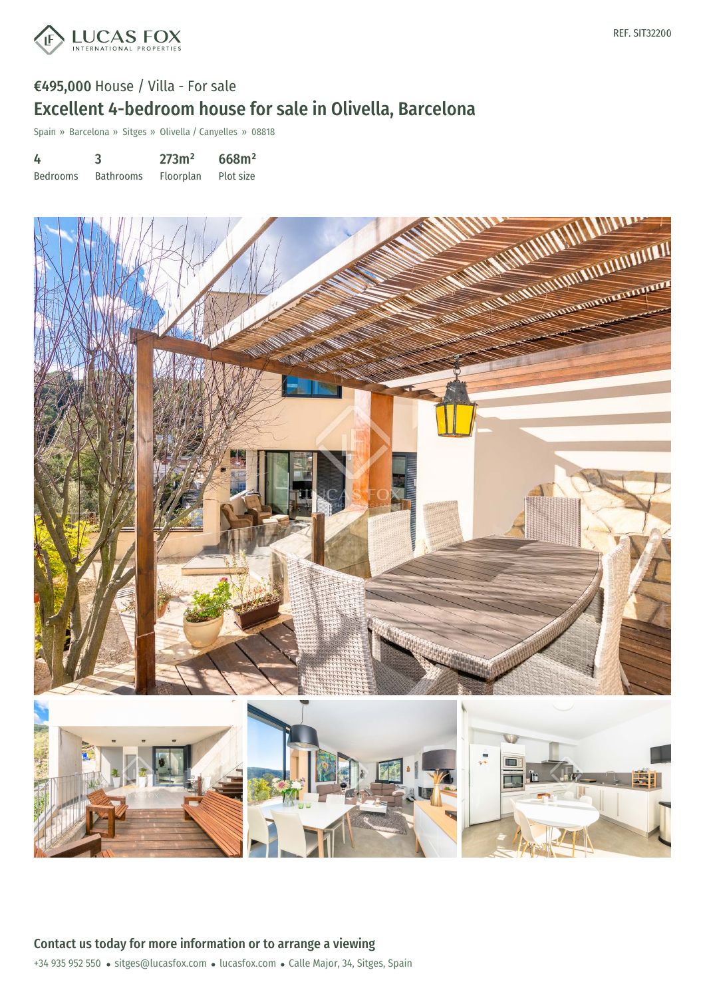

# €495,000 House / Villa - For sale Excellent 4-bedroom house for sale in Olivella, Barcelona

Spain » Barcelona » Sitges » Olivella / Canyelles » 08818

| 4               | 3                | 273m <sup>2</sup> | 668m <sup>2</sup> |
|-----------------|------------------|-------------------|-------------------|
| <b>Bedrooms</b> | <b>Bathrooms</b> | Floorplan         | Plot size         |



+34 935 952 550 · sitges@lucasfox.com · lucasfox.com · Calle Major, 34, Sitges, Spain Contact us today for more information or to arrange a viewing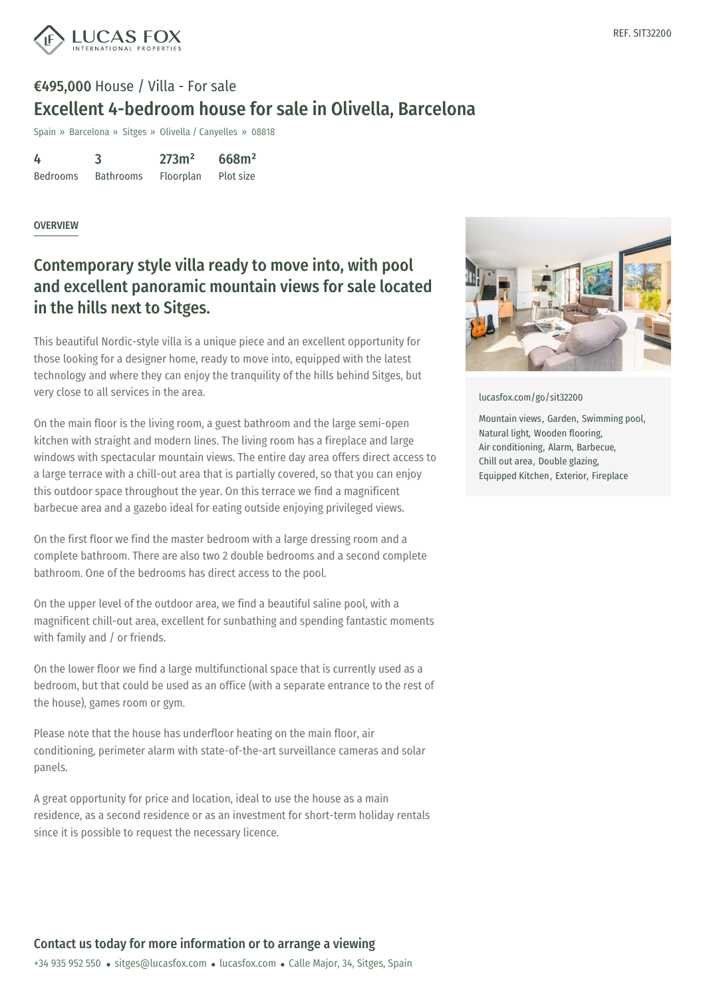

# €495,000 House / Villa - For sale Excellent 4-bedroom house for sale in Olivella, Barcelona

Spain » Barcelona » Sitges » Olivella / Canyelles » 08818

4 Bedrooms 3 Bathrooms 273m² Floorplan 668m² Plot size

#### OVERVIEW

### Contemporary style villa ready to move into, with pool and excellent panoramic mountain views for sale located in the hills next to Sitges.

This beautiful Nordic-style villa is a unique piece and an excellent opportunity for those looking for a designer home, ready to move into, equipped with the latest technology and where they can enjoy the tranquility of the hills behind Sitges, but very close to all services in the area.

On the main floor is the living room, a guest bathroom and the large semi-open kitchen with straight and modern lines. The living room has a fireplace and large windows with spectacular mountain views. The entire day area offers direct access to a large terrace with a chill-out area that is partially covered, so that you can enjoy this outdoor space throughout the year. On this terrace we find a magnificent barbecue area and a gazebo ideal for eating outside enjoying privileged views.

On the first floor we find the master bedroom with a large dressing room and a complete bathroom. There are also two 2 double bedrooms and a second complete bathroom. One of the bedrooms has direct access to the pool.

On the upper level of the outdoor area, we find a beautiful saline pool, with a magnificent chill-out area, excellent for sunbathing and spending fantastic moments with family and / or friends.

On the lower floor we find a large multifunctional space that is currently used as a bedroom, but that could be used as an office (with a separate entrance to the rest of the house), games room or gym.

Please note that the house has underfloor heating on the main floor, air conditioning, per[imeter](mailto:sitges@lucasfox.com) alarm with stat[e-of-the-art](https://www.lucasfox.com) surveillance cameras and solar panels.

A great opportunity for price and location, ideal to use the house as a main residence, as a second residence or as an investment for short-term holiday rentals since it is possible to request the necessary licence.





[lucasfox.com/go/sit32200](https://www.lucasfox.com/go/sit32200)

Mountain views, Garden, Swimming pool, Natural light, Wooden flooring, Air conditioning, Alarm, Barbecue, Chill out area, Double glazing, Equipped Kitchen, Exterior, Fireplace